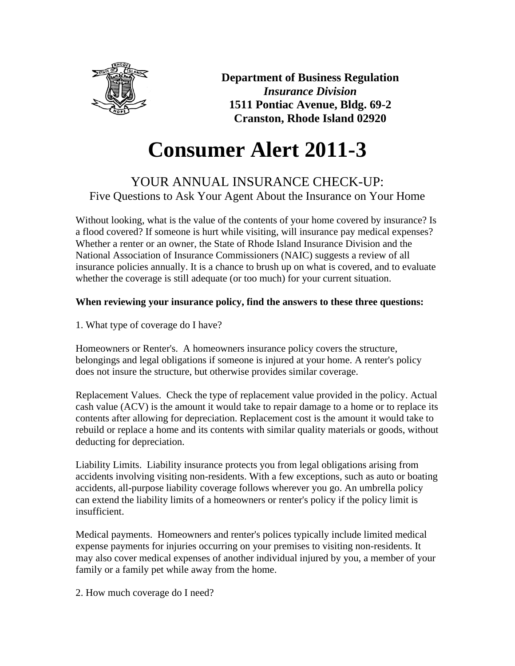

**Department of Business Regulation** *Insurance Division* **1511 Pontiac Avenue, Bldg. 69-2 Cranston, Rhode Island 02920**

# **Consumer Alert 2011-3**

# YOUR ANNUAL INSURANCE CHECK-UP: Five Questions to Ask Your Agent About the Insurance on Your Home

Without looking, what is the value of the contents of your home covered by insurance? Is a flood covered? If someone is hurt while visiting, will insurance pay medical expenses? Whether a renter or an owner, the State of Rhode Island Insurance Division and the National Association of Insurance Commissioners (NAIC) suggests a review of all insurance policies annually. It is a chance to brush up on what is covered, and to evaluate whether the coverage is still adequate (or too much) for your current situation.

## **When reviewing your insurance policy, find the answers to these three questions:**

1. What type of coverage do I have?

Homeowners or Renter's. A homeowners insurance policy covers the structure, belongings and legal obligations if someone is injured at your home. A renter's policy does not insure the structure, but otherwise provides similar coverage.

Replacement Values. Check the type of replacement value provided in the policy. Actual cash value (ACV) is the amount it would take to repair damage to a home or to replace its contents after allowing for depreciation. Replacement cost is the amount it would take to rebuild or replace a home and its contents with similar quality materials or goods, without deducting for depreciation.

Liability Limits. Liability insurance protects you from legal obligations arising from accidents involving visiting non-residents. With a few exceptions, such as auto or boating accidents, all-purpose liability coverage follows wherever you go. An umbrella policy can extend the liability limits of a homeowners or renter's policy if the policy limit is insufficient.

Medical payments. Homeowners and renter's polices typically include limited medical expense payments for injuries occurring on your premises to visiting non-residents. It may also cover medical expenses of another individual injured by you, a member of your family or a family pet while away from the home.

2. How much coverage do I need?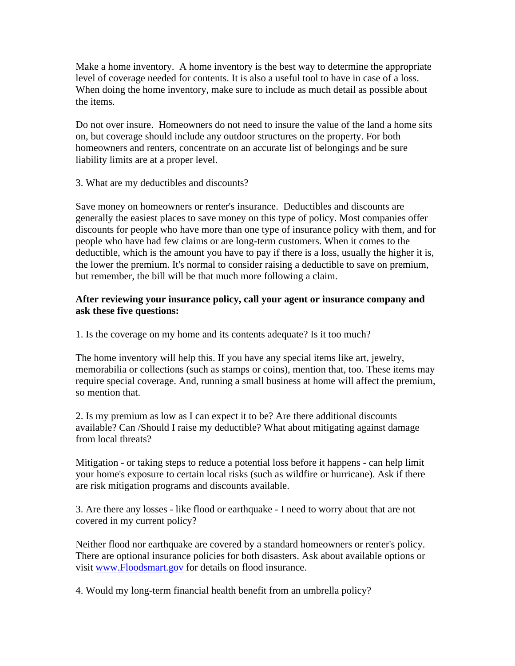Make a home inventory. A home inventory is the best way to determine the appropriate level of coverage needed for contents. It is also a useful tool to have in case of a loss. When doing the home inventory, make sure to include as much detail as possible about the items.

Do not over insure. Homeowners do not need to insure the value of the land a home sits on, but coverage should include any outdoor structures on the property. For both homeowners and renters, concentrate on an accurate list of belongings and be sure liability limits are at a proper level.

3. What are my deductibles and discounts?

Save money on homeowners or renter's insurance. Deductibles and discounts are generally the easiest places to save money on this type of policy. Most companies offer discounts for people who have more than one type of insurance policy with them, and for people who have had few claims or are long-term customers. When it comes to the deductible, which is the amount you have to pay if there is a loss, usually the higher it is, the lower the premium. It's normal to consider raising a deductible to save on premium, but remember, the bill will be that much more following a claim.

#### **After reviewing your insurance policy, call your agent or insurance company and ask these five questions:**

1. Is the coverage on my home and its contents adequate? Is it too much?

The home inventory will help this. If you have any special items like art, jewelry, memorabilia or collections (such as stamps or coins), mention that, too. These items may require special coverage. And, running a small business at home will affect the premium, so mention that.

2. Is my premium as low as I can expect it to be? Are there additional discounts available? Can /Should I raise my deductible? What about mitigating against damage from local threats?

Mitigation - or taking steps to reduce a potential loss before it happens - can help limit your home's exposure to certain local risks (such as wildfire or hurricane). Ask if there are risk mitigation programs and discounts available.

3. Are there any losses - like flood or earthquake - I need to worry about that are not covered in my current policy?

Neither flood nor earthquake are covered by a standard homeowners or renter's policy. There are optional insurance policies for both disasters. Ask about available options or visit [www.Floodsmart.gov](http://www.floodsmart.gov/) for details on flood insurance.

4. Would my long-term financial health benefit from an umbrella policy?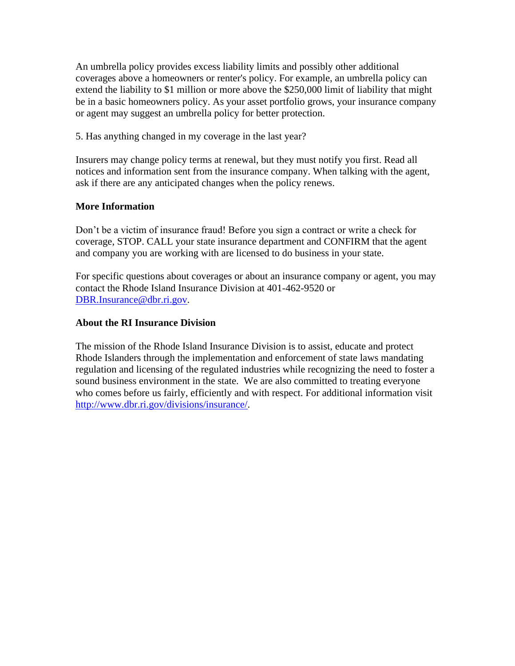An umbrella policy provides excess liability limits and possibly other additional coverages above a homeowners or renter's policy. For example, an umbrella policy can extend the liability to \$1 million or more above the \$250,000 limit of liability that might be in a basic homeowners policy. As your asset portfolio grows, your insurance company or agent may suggest an umbrella policy for better protection.

5. Has anything changed in my coverage in the last year?

Insurers may change policy terms at renewal, but they must notify you first. Read all notices and information sent from the insurance company. When talking with the agent, ask if there are any anticipated changes when the policy renews.

### **More Information**

Don't be a victim of insurance fraud! Before you sign a contract or write a check for coverage, STOP. CALL your state insurance department and CONFIRM that the agent and company you are working with are licensed to do business in your state.

For specific questions about coverages or about an insurance company or agent, you may contact the Rhode Island Insurance Division at 401-462-9520 or [DBR.Insurance@dbr.ri.gov.](mailto:DBR.Insurance@dbr.ri.gov)

#### **About the RI Insurance Division**

The mission of the Rhode Island Insurance Division is to assist, educate and protect Rhode Islanders through the implementation and enforcement of state laws mandating regulation and licensing of the regulated industries while recognizing the need to foster a sound business environment in the state. We are also committed to treating everyone who comes before us fairly, efficiently and with respect. For additional information visit [http://www.dbr.ri.gov/divisions/insurance/.](http://www.dbr.ri.gov/divisions/insurance/)